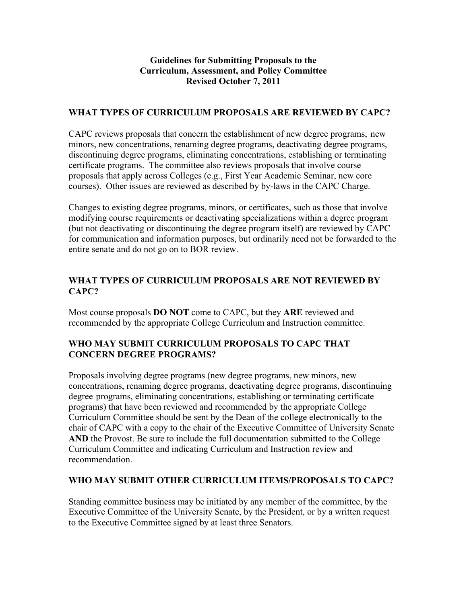## **Guidelines for Submitting Proposals to the Curriculum, Assessment, and Policy Committee Revised October 7, 2011**

## **WHAT TYPES OF CURRICULUM PROPOSALS ARE REVIEWED BY CAPC?**

CAPC reviews proposals that concern the establishment of new degree programs, new minors, new concentrations, renaming degree programs, deactivating degree programs, discontinuing degree programs, eliminating concentrations, establishing or terminating certificate programs. The committee also reviews proposals that involve course proposals that apply across Colleges (e.g., First Year Academic Seminar, new core courses). Other issues are reviewed as described by by-laws in the CAPC Charge.

Changes to existing degree programs, minors, or certificates, such as those that involve modifying course requirements or deactivating specializations within a degree program (but not deactivating or discontinuing the degree program itself) are reviewed by CAPC for communication and information purposes, but ordinarily need not be forwarded to the entire senate and do not go on to BOR review.

# **WHAT TYPES OF CURRICULUM PROPOSALS ARE NOT REVIEWED BY CAPC?**

Most course proposals **DO NOT** come to CAPC, but they **ARE** reviewed and recommended by the appropriate College Curriculum and Instruction committee.

# **WHO MAY SUBMIT CURRICULUM PROPOSALS TO CAPC THAT CONCERN DEGREE PROGRAMS?**

Proposals involving degree programs (new degree programs, new minors, new concentrations, renaming degree programs, deactivating degree programs, discontinuing degree programs, eliminating concentrations, establishing or terminating certificate programs) that have been reviewed and recommended by the appropriate College Curriculum Committee should be sent by the Dean of the college electronically to the chair of CAPC with a copy to the chair of the Executive Committee of University Senate **AND** the Provost. Be sure to include the full documentation submitted to the College Curriculum Committee and indicating Curriculum and Instruction review and recommendation.

#### **WHO MAY SUBMIT OTHER CURRICULUM ITEMS/PROPOSALS TO CAPC?**

Standing committee business may be initiated by any member of the committee, by the Executive Committee of the University Senate, by the President, or by a written request to the Executive Committee signed by at least three Senators.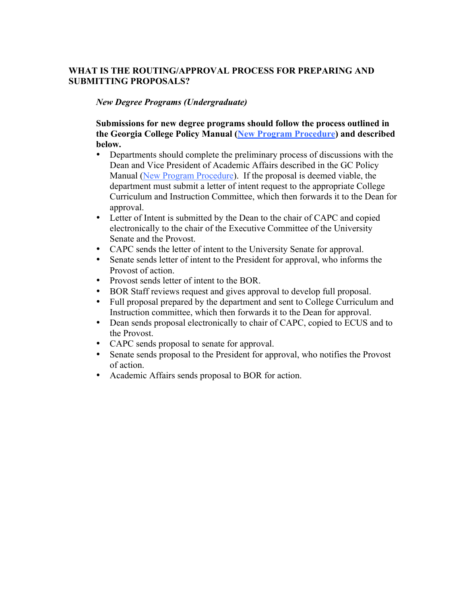# **WHAT IS THE ROUTING/APPROVAL PROCESS FOR PREPARING AND SUBMITTING PROPOSALS?**

#### *New Degree Programs (Undergraduate)*

## **Submissions for new degree programs should follow the process outlined in the Georgia College Policy Manual (New Program Procedure) and described below.**

- Departments should complete the preliminary process of discussions with the Dean and Vice President of Academic Affairs described in the GC Policy Manual (New Program Procedure). If the proposal is deemed viable, the department must submit a letter of intent request to the appropriate College Curriculum and Instruction Committee, which then forwards it to the Dean for approval.
- Letter of Intent is submitted by the Dean to the chair of CAPC and copied electronically to the chair of the Executive Committee of the University Senate and the Provost.
- CAPC sends the letter of intent to the University Senate for approval.
- Senate sends letter of intent to the President for approval, who informs the Provost of action.
- Provost sends letter of intent to the BOR.
- BOR Staff reviews request and gives approval to develop full proposal.
- Full proposal prepared by the department and sent to College Curriculum and Instruction committee, which then forwards it to the Dean for approval.
- Dean sends proposal electronically to chair of CAPC, copied to ECUS and to the Provost.
- CAPC sends proposal to senate for approval.
- Senate sends proposal to the President for approval, who notifies the Provost of action.
- Academic Affairs sends proposal to BOR for action.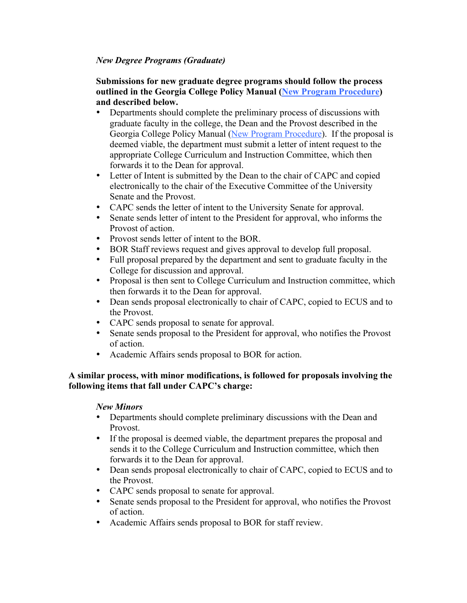## *New Degree Programs (Graduate)*

#### **Submissions for new graduate degree programs should follow the process outlined in the Georgia College Policy Manual (New Program Procedure) and described below.**

- Departments should complete the preliminary process of discussions with graduate faculty in the college, the Dean and the Provost described in the Georgia College Policy Manual (New Program Procedure). If the proposal is deemed viable, the department must submit a letter of intent request to the appropriate College Curriculum and Instruction Committee, which then forwards it to the Dean for approval.
- Letter of Intent is submitted by the Dean to the chair of CAPC and copied electronically to the chair of the Executive Committee of the University Senate and the Provost.
- CAPC sends the letter of intent to the University Senate for approval.<br>• Senate sends letter of intent to the President for approval, who informed
- Senate sends letter of intent to the President for approval, who informs the Provost of action.
- Provost sends letter of intent to the BOR.
- BOR Staff reviews request and gives approval to develop full proposal.
- Full proposal prepared by the department and sent to graduate faculty in the College for discussion and approval.
- Proposal is then sent to College Curriculum and Instruction committee, which then forwards it to the Dean for approval.
- Dean sends proposal electronically to chair of CAPC, copied to ECUS and to the Provost.
- CAPC sends proposal to senate for approval.
- Senate sends proposal to the President for approval, who notifies the Provost of action.
- Academic Affairs sends proposal to BOR for action.

## **A similar process, with minor modifications, is followed for proposals involving the following items that fall under CAPC's charge:**

## *New Minors*

- Departments should complete preliminary discussions with the Dean and Provost.
- If the proposal is deemed viable, the department prepares the proposal and sends it to the College Curriculum and Instruction committee, which then forwards it to the Dean for approval.
- Dean sends proposal electronically to chair of CAPC, copied to ECUS and to the Provost.
- CAPC sends proposal to senate for approval.
- Senate sends proposal to the President for approval, who notifies the Provost of action.
- Academic Affairs sends proposal to BOR for staff review.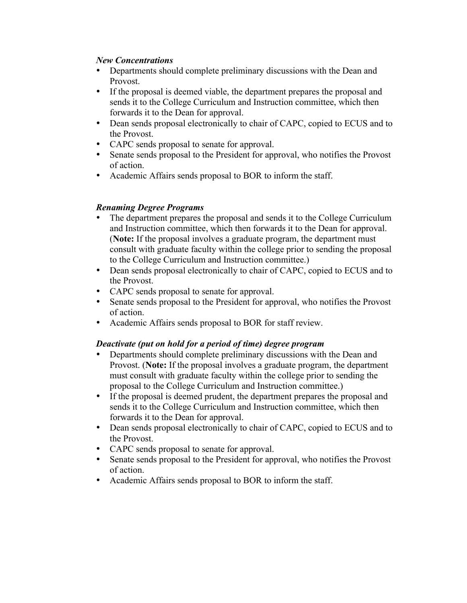#### *New Concentrations*

- Departments should complete preliminary discussions with the Dean and Provost.
- If the proposal is deemed viable, the department prepares the proposal and sends it to the College Curriculum and Instruction committee, which then forwards it to the Dean for approval.
- Dean sends proposal electronically to chair of CAPC, copied to ECUS and to the Provost.
- CAPC sends proposal to senate for approval.
- Senate sends proposal to the President for approval, who notifies the Provost of action.
- Academic Affairs sends proposal to BOR to inform the staff.

# *Renaming Degree Programs*

- The department prepares the proposal and sends it to the College Curriculum and Instruction committee, which then forwards it to the Dean for approval. (**Note:** If the proposal involves a graduate program, the department must consult with graduate faculty within the college prior to sending the proposal to the College Curriculum and Instruction committee.)
- Dean sends proposal electronically to chair of CAPC, copied to ECUS and to the Provost.
- CAPC sends proposal to senate for approval.
- Senate sends proposal to the President for approval, who notifies the Provost of action.
- Academic Affairs sends proposal to BOR for staff review.

## *Deactivate (put on hold for a period of time) degree program*

- Departments should complete preliminary discussions with the Dean and Provost. (**Note:** If the proposal involves a graduate program, the department must consult with graduate faculty within the college prior to sending the proposal to the College Curriculum and Instruction committee.)
- If the proposal is deemed prudent, the department prepares the proposal and sends it to the College Curriculum and Instruction committee, which then forwards it to the Dean for approval.
- Dean sends proposal electronically to chair of CAPC, copied to ECUS and to the Provost.
- CAPC sends proposal to senate for approval.<br>• Senate sends proposal to the President for approximate
- Senate sends proposal to the President for approval, who notifies the Provost of action.
- Academic Affairs sends proposal to BOR to inform the staff.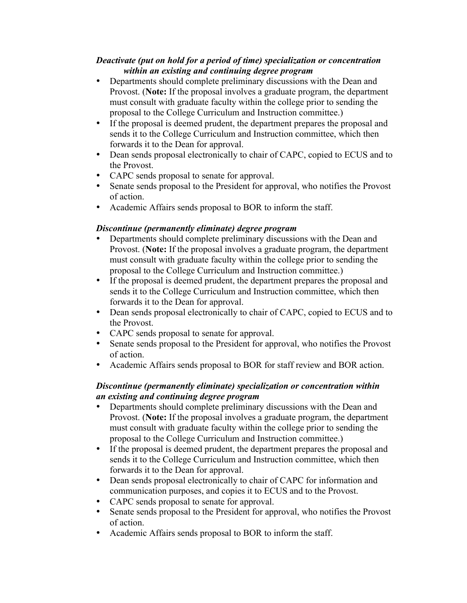#### *Deactivate (put on hold for a period of time) specialization or concentration within an existing and continuing degree program*

- Departments should complete preliminary discussions with the Dean and Provost. (**Note:** If the proposal involves a graduate program, the department must consult with graduate faculty within the college prior to sending the proposal to the College Curriculum and Instruction committee.)
- If the proposal is deemed prudent, the department prepares the proposal and sends it to the College Curriculum and Instruction committee, which then forwards it to the Dean for approval.
- Dean sends proposal electronically to chair of CAPC, copied to ECUS and to the Provost.
- CAPC sends proposal to senate for approval.
- Senate sends proposal to the President for approval, who notifies the Provost of action.
- Academic Affairs sends proposal to BOR to inform the staff.

# *Discontinue (permanently eliminate) degree program*

- Departments should complete preliminary discussions with the Dean and Provost. (**Note:** If the proposal involves a graduate program, the department must consult with graduate faculty within the college prior to sending the proposal to the College Curriculum and Instruction committee.)
- If the proposal is deemed prudent, the department prepares the proposal and sends it to the College Curriculum and Instruction committee, which then forwards it to the Dean for approval.
- Dean sends proposal electronically to chair of CAPC, copied to ECUS and to the Provost.
- CAPC sends proposal to senate for approval.
- Senate sends proposal to the President for approval, who notifies the Provost of action.
- Academic Affairs sends proposal to BOR for staff review and BOR action.

# *Discontinue (permanently eliminate) specialization or concentration within an existing and continuing degree program*

- Departments should complete preliminary discussions with the Dean and Provost. (**Note:** If the proposal involves a graduate program, the department must consult with graduate faculty within the college prior to sending the proposal to the College Curriculum and Instruction committee.)
- If the proposal is deemed prudent, the department prepares the proposal and sends it to the College Curriculum and Instruction committee, which then forwards it to the Dean for approval.
- Dean sends proposal electronically to chair of CAPC for information and communication purposes, and copies it to ECUS and to the Provost.
- CAPC sends proposal to senate for approval.<br>• Senate sends proposal to the President for approximate
- Senate sends proposal to the President for approval, who notifies the Provost of action.
- Academic Affairs sends proposal to BOR to inform the staff.